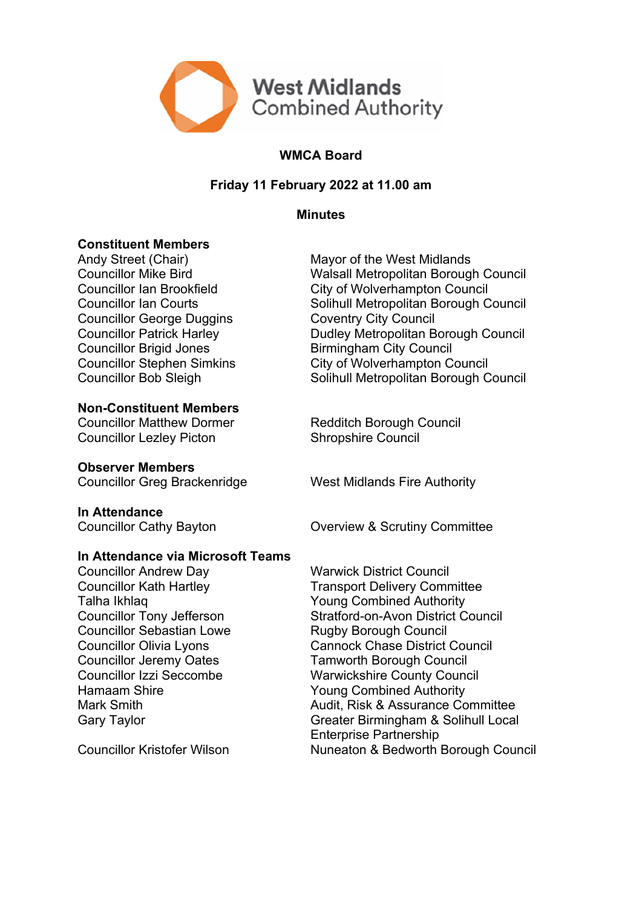

# **WMCA Board**

## **Friday 11 February 2022 at 11.00 am**

**Minutes**

## **Constituent Members**

Councillor George Duggins Coventry City Council Councillor Brigid Jones<br>
Councillor Stephen Simkins<br>
City of Wolverhampton C

**Non-Constituent Members**

Councillor Lezley Picton Shropshire Council

**Observer Members**

**In Attendance**

### **In Attendance via Microsoft Teams**

**Councillor Andrew Day Manuscultum** Warwick District Council Talha Ikhlaq Xang Combined Authority Councillor Sebastian Lowe **Rugby Borough Council** Councillor Jeremy Oates Tamworth Borough Council Hamaam Shire **Young Combined Authority** 

Andy Street (Chair) Mayor of the West Midlands Councillor Mike Bird Walsall Metropolitan Borough Council Councillor Ian Brookfield City of Wolverhampton Council Councillor Ian Courts **Solihull Metropolitan Borough Council** Councillor Patrick Harley **Dudley Metropolitan Borough Council** City of Wolverhampton Council Councillor Bob Sleigh Solihull Metropolitan Borough Council

Councillor Matthew Dormer Redditch Borough Council

Councillor Greg Brackenridge West Midlands Fire Authority

Councillor Cathy Bayton **Councillor Cathy Bayton** Overview & Scrutiny Committee

Councillor Kath Hartley Transport Delivery Committee Councillor Tony Jefferson Stratford-on-Avon District Council Councillor Olivia Lyons Cannock Chase District Council Councillor Izzi Seccombe Warwickshire County Council Mark Smith Mark Smith Audit, Risk & Assurance Committee Gary Taylor Greater Birmingham & Solihull Local Enterprise Partnership Councillor Kristofer Wilson Nuneaton & Bedworth Borough Council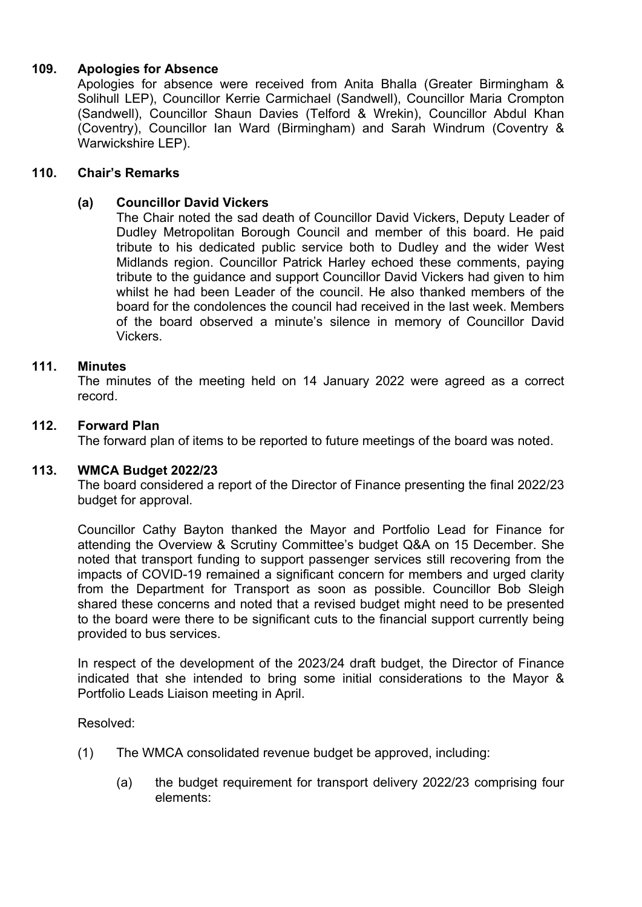## **109. Apologies for Absence**

Apologies for absence were received from Anita Bhalla (Greater Birmingham & Solihull LEP), Councillor Kerrie Carmichael (Sandwell), Councillor Maria Crompton (Sandwell), Councillor Shaun Davies (Telford & Wrekin), Councillor Abdul Khan (Coventry), Councillor Ian Ward (Birmingham) and Sarah Windrum (Coventry & Warwickshire LEP).

### **110. Chair's Remarks**

## **(a) Councillor David Vickers**

The Chair noted the sad death of Councillor David Vickers, Deputy Leader of Dudley Metropolitan Borough Council and member of this board. He paid tribute to his dedicated public service both to Dudley and the wider West Midlands region. Councillor Patrick Harley echoed these comments, paying tribute to the guidance and support Councillor David Vickers had given to him whilst he had been Leader of the council. He also thanked members of the board for the condolences the council had received in the last week. Members of the board observed a minute's silence in memory of Councillor David Vickers.

### **111. Minutes**

The minutes of the meeting held on 14 January 2022 were agreed as a correct record.

### **112. Forward Plan**

The forward plan of items to be reported to future meetings of the board was noted.

#### **113. WMCA Budget 2022/23**

The board considered a report of the Director of Finance presenting the final 2022/23 budget for approval.

Councillor Cathy Bayton thanked the Mayor and Portfolio Lead for Finance for attending the Overview & Scrutiny Committee's budget Q&A on 15 December. She noted that transport funding to support passenger services still recovering from the impacts of COVID-19 remained a significant concern for members and urged clarity from the Department for Transport as soon as possible. Councillor Bob Sleigh shared these concerns and noted that a revised budget might need to be presented to the board were there to be significant cuts to the financial support currently being provided to bus services.

In respect of the development of the 2023/24 draft budget, the Director of Finance indicated that she intended to bring some initial considerations to the Mayor & Portfolio Leads Liaison meeting in April.

Resolved:

- (1) The WMCA consolidated revenue budget be approved, including:
	- (a) the budget requirement for transport delivery 2022/23 comprising four elements: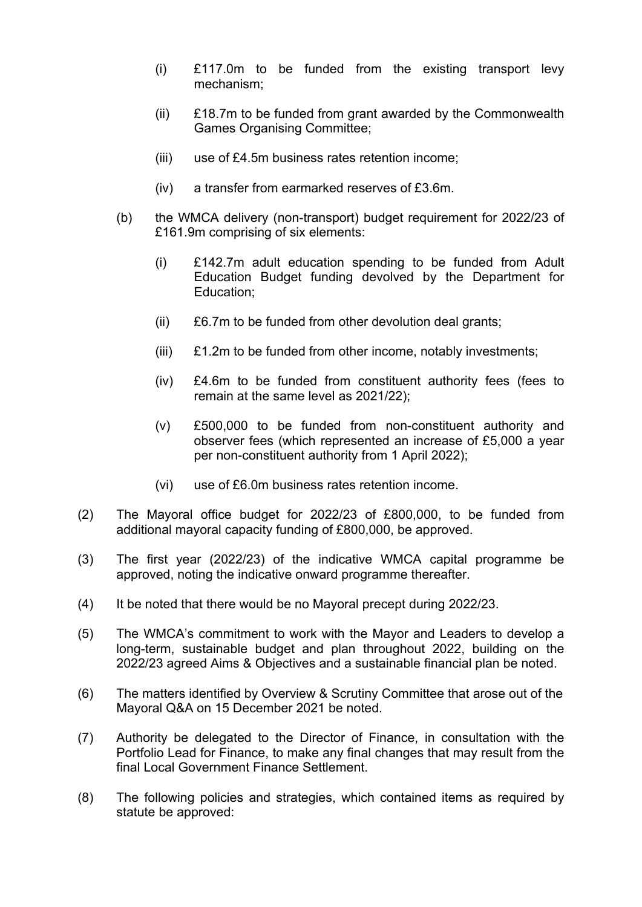- (i) £117.0m to be funded from the existing transport levy mechanism;
- (ii) £18.7m to be funded from grant awarded by the Commonwealth Games Organising Committee;
- (iii) use of £4.5m business rates retention income;
- (iv) a transfer from earmarked reserves of £3.6m.
- (b) the WMCA delivery (non-transport) budget requirement for 2022/23 of £161.9m comprising of six elements:
	- (i) £142.7m adult education spending to be funded from Adult Education Budget funding devolved by the Department for Education;
	- (ii) £6.7m to be funded from other devolution deal grants;
	- (iii) £1.2m to be funded from other income, notably investments;
	- (iv) £4.6m to be funded from constituent authority fees (fees to remain at the same level as 2021/22);
	- (v) £500,000 to be funded from non-constituent authority and observer fees (which represented an increase of £5,000 a year per non-constituent authority from 1 April 2022);
	- (vi) use of £6.0m business rates retention income.
- (2) The Mayoral office budget for 2022/23 of £800,000, to be funded from additional mayoral capacity funding of £800,000, be approved.
- (3) The first year (2022/23) of the indicative WMCA capital programme be approved, noting the indicative onward programme thereafter.
- (4) It be noted that there would be no Mayoral precept during 2022/23.
- (5) The WMCA's commitment to work with the Mayor and Leaders to develop a long-term, sustainable budget and plan throughout 2022, building on the 2022/23 agreed Aims & Objectives and a sustainable financial plan be noted.
- (6) The matters identified by Overview & Scrutiny Committee that arose out of the Mayoral Q&A on 15 December 2021 be noted.
- (7) Authority be delegated to the Director of Finance, in consultation with the Portfolio Lead for Finance, to make any final changes that may result from the final Local Government Finance Settlement.
- (8) The following policies and strategies, which contained items as required by statute be approved: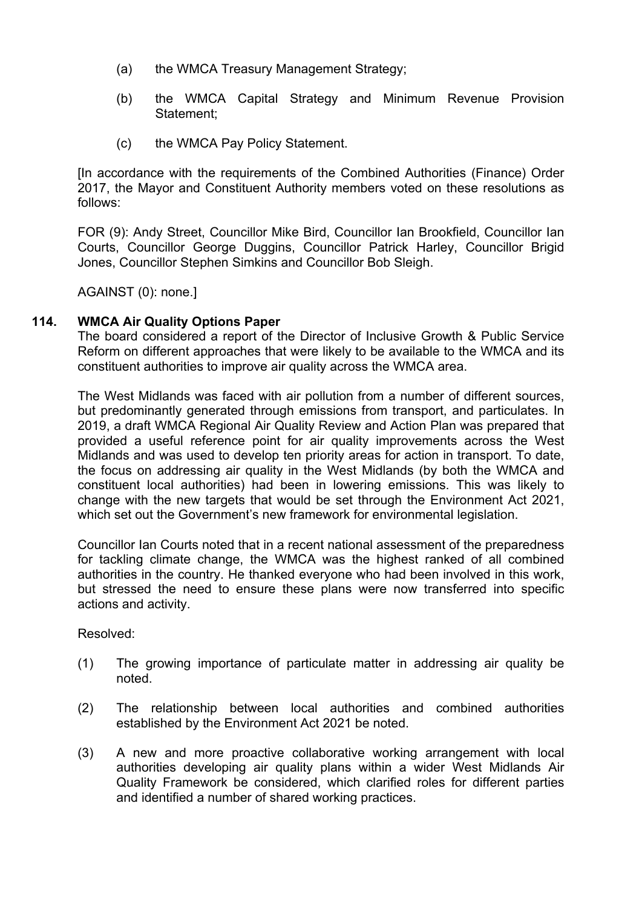- (a) the WMCA Treasury Management Strategy;
- (b) the WMCA Capital Strategy and Minimum Revenue Provision Statement;
- (c) the WMCA Pay Policy Statement.

[In accordance with the requirements of the Combined Authorities (Finance) Order 2017, the Mayor and Constituent Authority members voted on these resolutions as follows:

FOR (9): Andy Street, Councillor Mike Bird, Councillor Ian Brookfield, Councillor Ian Courts, Councillor George Duggins, Councillor Patrick Harley, Councillor Brigid Jones, Councillor Stephen Simkins and Councillor Bob Sleigh.

AGAINST (0): none.]

## **114. WMCA Air Quality Options Paper**

The board considered a report of the Director of Inclusive Growth & Public Service Reform on different approaches that were likely to be available to the WMCA and its constituent authorities to improve air quality across the WMCA area.

The West Midlands was faced with air pollution from a number of different sources, but predominantly generated through emissions from transport, and particulates. In 2019, a draft WMCA Regional Air Quality Review and Action Plan was prepared that provided a useful reference point for air quality improvements across the West Midlands and was used to develop ten priority areas for action in transport. To date, the focus on addressing air quality in the West Midlands (by both the WMCA and constituent local authorities) had been in lowering emissions. This was likely to change with the new targets that would be set through the Environment Act 2021, which set out the Government's new framework for environmental legislation.

Councillor Ian Courts noted that in a recent national assessment of the preparedness for tackling climate change, the WMCA was the highest ranked of all combined authorities in the country. He thanked everyone who had been involved in this work, but stressed the need to ensure these plans were now transferred into specific actions and activity.

Resolved:

- (1) The growing importance of particulate matter in addressing air quality be noted.
- (2) The relationship between local authorities and combined authorities established by the Environment Act 2021 be noted.
- (3) A new and more proactive collaborative working arrangement with local authorities developing air quality plans within a wider West Midlands Air Quality Framework be considered, which clarified roles for different parties and identified a number of shared working practices.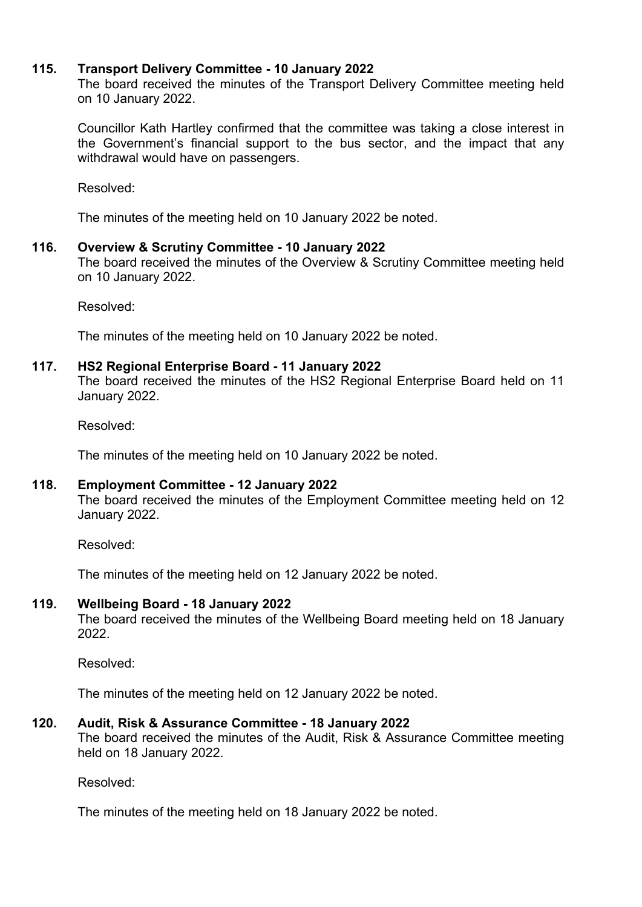### **115. Transport Delivery Committee - 10 January 2022**

The board received the minutes of the Transport Delivery Committee meeting held on 10 January 2022.

Councillor Kath Hartley confirmed that the committee was taking a close interest in the Government's financial support to the bus sector, and the impact that any withdrawal would have on passengers.

Resolved:

The minutes of the meeting held on 10 January 2022 be noted.

### **116. Overview & Scrutiny Committee - 10 January 2022**

The board received the minutes of the Overview & Scrutiny Committee meeting held on 10 January 2022.

Resolved:

The minutes of the meeting held on 10 January 2022 be noted.

#### **117. HS2 Regional Enterprise Board - 11 January 2022**

The board received the minutes of the HS2 Regional Enterprise Board held on 11 January 2022.

Resolved:

The minutes of the meeting held on 10 January 2022 be noted.

### **118. Employment Committee - 12 January 2022**

The board received the minutes of the Employment Committee meeting held on 12 January 2022.

Resolved:

The minutes of the meeting held on 12 January 2022 be noted.

### **119. Wellbeing Board - 18 January 2022**

The board received the minutes of the Wellbeing Board meeting held on 18 January 2022.

Resolved:

The minutes of the meeting held on 12 January 2022 be noted.

### **120. Audit, Risk & Assurance Committee - 18 January 2022**

The board received the minutes of the Audit, Risk & Assurance Committee meeting held on 18 January 2022.

Resolved:

The minutes of the meeting held on 18 January 2022 be noted.